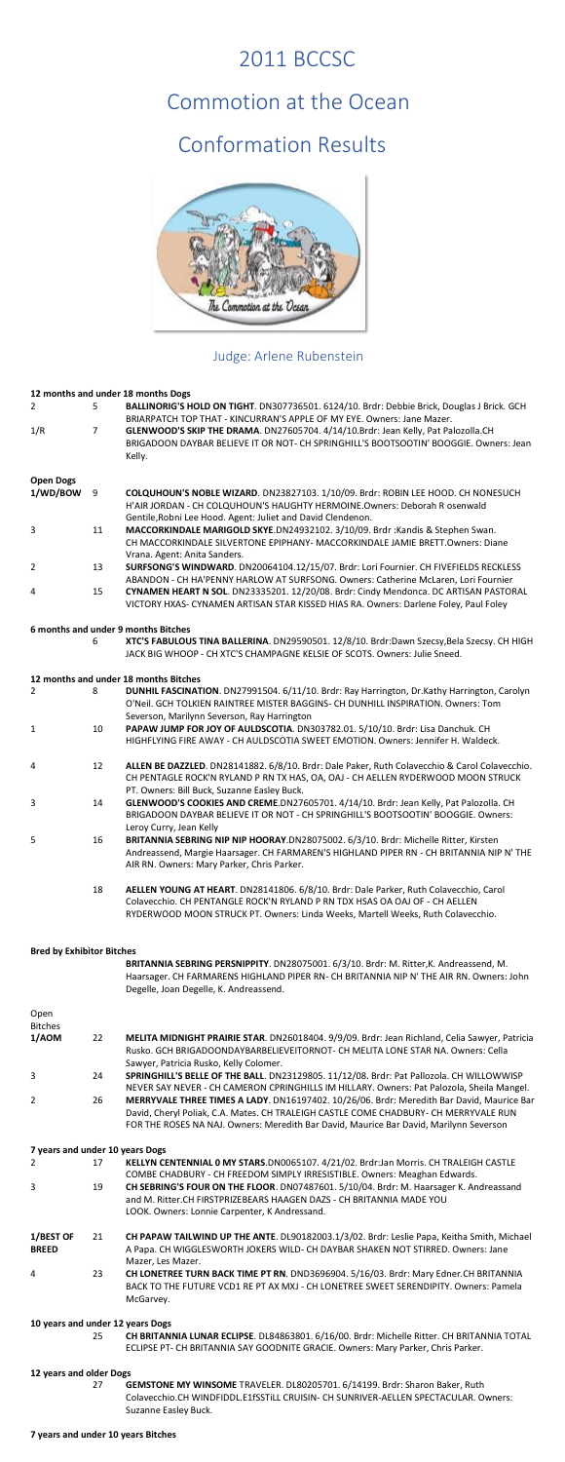### 2011 BCCSC

## Commotion at the Ocean

# Conformation Results



### Judge: Arlene Rubenstein

### **12 months and under 18 months Dogs**

|                  |                | IZ MURICIS AND DIDEL TO MURICIS DUES                                                                                                                                 |
|------------------|----------------|----------------------------------------------------------------------------------------------------------------------------------------------------------------------|
| 2                | 5.             | BALLINORIG'S HOLD ON TIGHT. DN307736501. 6124/10. Brdr: Debbie Brick, Douglas J Brick. GCH<br>BRIARPATCH TOP THAT - KINCURRAN'S APPLE OF MY EYE. Owners: Jane Mazer. |
| 1/R              | $\overline{7}$ | GLENWOOD'S SKIP THE DRAMA. DN27605704. 4/14/10. Brdr: Jean Kelly, Pat Palozolla. CH                                                                                  |
|                  |                | BRIGADOON DAYBAR BELIEVE IT OR NOT- CH SPRINGHILL'S BOOTSOOTIN' BOOGGIE. Owners: Jean                                                                                |
|                  |                | Kelly.                                                                                                                                                               |
| <b>Open Dogs</b> |                |                                                                                                                                                                      |
| 1/WD/BOW         | 9              | COLQUHOUN'S NOBLE WIZARD. DN23827103. 1/10/09. Brdr: ROBIN LEE HOOD. CH NONESUCH                                                                                     |
|                  |                | H'AIR JORDAN - CH COLQUHOUN'S HAUGHTY HERMOINE.Owners: Deborah R osenwald                                                                                            |
|                  |                | Gentile, Robni Lee Hood. Agent: Juliet and David Clendenon.                                                                                                          |
| 3                | 11             | MACCORKINDALE MARIGOLD SKYE.DN24932102. 3/10/09. Brdr : Kandis & Stephen Swan.                                                                                       |
|                  |                | CH MACCORKINDALE SILVERTONE EPIPHANY- MACCORKINDALE JAMIE BRETT Owners: Diane                                                                                        |
|                  |                | Vrana. Agent: Anita Sanders.                                                                                                                                         |
| 2                | 13             | SURFSONG'S WINDWARD. DN20064104.12/15/07. Brdr: Lori Fournier. CH FIVEFIELDS RECKLESS                                                                                |
|                  |                | ABANDON - CH HA'PENNY HARLOW AT SURFSONG. Owners: Catherine McLaren, Lori Fournier                                                                                   |
| 4                | 15             | CYNAMEN HEART N SOL. DN23335201. 12/20/08. Brdr: Cindy Mendonca. DC ARTISAN PASTORAL                                                                                 |
|                  |                | VICTORY HXAS- CYNAMEN ARTISAN STAR KISSED HIAS RA. Owners: Darlene Foley, Paul Foley                                                                                 |
|                  |                | 6 months and under 9 months Bitches                                                                                                                                  |
|                  | 6              | XTC'S FABULOUS TINA BALLERINA. DN29590501. 12/8/10. Brdr:Dawn Szecsy, Bela Szecsy. CH HIGH                                                                           |
|                  |                | JACK BIG WHOOP - CH XTC'S CHAMPAGNE KELSIE OF SCOTS, Owners: Julie Sneed.                                                                                            |
|                  |                | 12 months and under 18 months Bitches                                                                                                                                |
|                  |                |                                                                                                                                                                      |

| $\overline{2}$                   | 8  | DUNHIL FASCINATION. DN27991504. 6/11/10. Brdr: Ray Harrington, Dr.Kathy Harrington, Carolyn<br>O'Neil. GCH TOLKIEN RAINTREE MISTER BAGGINS- CH DUNHILL INSPIRATION. Owners: Tom                                                                                             |
|----------------------------------|----|-----------------------------------------------------------------------------------------------------------------------------------------------------------------------------------------------------------------------------------------------------------------------------|
|                                  |    | Severson, Marilynn Severson, Ray Harrington                                                                                                                                                                                                                                 |
| 1                                | 10 | PAPAW JUMP FOR JOY OF AULDSCOTIA. DN303782.01. 5/10/10. Brdr: Lisa Danchuk. CH                                                                                                                                                                                              |
|                                  |    | HIGHFLYING FIRE AWAY - CH AULDSCOTIA SWEET EMOTION. Owners: Jennifer H. Waldeck.                                                                                                                                                                                            |
| 4                                | 12 | ALLEN BE DAZZLED. DN28141882. 6/8/10. Brdr: Dale Paker, Ruth Colavecchio & Carol Colavecchio.<br>CH PENTAGLE ROCK'N RYLAND P RN TX HAS, OA, OAJ - CH AELLEN RYDERWOOD MOON STRUCK<br>PT. Owners: Bill Buck, Suzanne Easley Buck.                                            |
| 3                                | 14 | GLENWOOD'S COOKIES AND CREME.DN27605701. 4/14/10. Brdr: Jean Kelly, Pat Palozolla. CH<br>BRIGADOON DAYBAR BELIEVE IT OR NOT - CH SPRINGHILL'S BOOTSOOTIN' BOOGGIE. Owners:<br>Leroy Curry, Jean Kelly                                                                       |
| 5                                | 16 | BRITANNIA SEBRING NIP NIP HOORAY.DN28075002. 6/3/10. Brdr: Michelle Ritter, Kirsten<br>Andreassend, Margie Haarsager. CH FARMAREN'S HIGHLAND PIPER RN - CH BRITANNIA NIP N' THE<br>AIR RN. Owners: Mary Parker, Chris Parker.                                               |
|                                  | 18 | AELLEN YOUNG AT HEART. DN28141806. 6/8/10. Brdr: Dale Parker, Ruth Colavecchio, Carol<br>Colavecchio. CH PENTANGLE ROCK'N RYLAND P RN TDX HSAS OA OAJ OF - CH AELLEN<br>RYDERWOOD MOON STRUCK PT. Owners: Linda Weeks, Martell Weeks, Ruth Colavecchio.                     |
| <b>Bred by Exhibitor Bitches</b> |    |                                                                                                                                                                                                                                                                             |
|                                  |    | BRITANNIA SEBRING PERSNIPPITY. DN28075001. 6/3/10. Brdr: M. Ritter, K. Andreassend, M.<br>Haarsager. CH FARMARENS HIGHLAND PIPER RN- CH BRITANNIA NIP N' THE AIR RN. Owners: John<br>Degelle, Joan Degelle, K. Andreassend.                                                 |
| Open                             |    |                                                                                                                                                                                                                                                                             |
| <b>Bitches</b>                   |    |                                                                                                                                                                                                                                                                             |
| 1/AOM                            | 22 | MELITA MIDNIGHT PRAIRIE STAR. DN26018404. 9/9/09. Brdr: Jean Richland, Celia Sawyer, Patricia<br>Rusko. GCH BRIGADOONDAYBARBELIEVEITORNOT- CH MELITA LONE STAR NA. Owners: Cella<br>Sawyer, Patricia Rusko, Kelly Colomer.                                                  |
| 3                                | 24 | SPRINGHILL'S BELLE OF THE BALL. DN23129805. 11/12/08. Brdr: Pat Pallozola. CH WILLOWWISP<br>NEVER SAY NEVER - CH CAMERON CPRINGHILLS IM HILLARY. Owners: Pat Palozola, Sheila Mangel.                                                                                       |
| 2                                | 26 | MERRYVALE THREE TIMES A LADY. DN16197402. 10/26/06. Brdr: Meredith Bar David, Maurice Bar<br>David, Cheryl Poliak, C.A. Mates. CH TRALEIGH CASTLE COME CHADBURY- CH MERRYVALE RUN<br>FOR THE ROSES NA NAJ. Owners: Meredith Bar David, Maurice Bar David, Marilynn Severson |

#### **7 years and under 10 years Dogs**

|  | KELLYN CENTENNIAL 0 MY STARS.DN0065107. 4/21/02. Brdr:Jan Morris. CH TRALEIGH CASTLE |
|--|--------------------------------------------------------------------------------------|
|  | COMBE CHADBURY - CH FREEDOM SIMPLY IRRESISTIBLE. Owners: Meaghan Edwards.            |

3 19 **CH SEBRING'S FOUR ON THE FLOOR**. DN07487601. 5/10/04. Brdr: M. Haarsager K. Andreassand and M. Ritter.CH FIRSTPRIZEBEARS HAAGEN DAZS - CH BRITANNIA MADE YOU LOOK. Owners: Lonnie Carpenter, K Andressand.

#### **1/BEST OF BREED** 21 **CH PAPAW TAILWIND UP THE ANTE**. DL90182003.1/3/02. Brdr: Leslie Papa, Keitha Smith, Michael A Papa. CH WIGGLESWORTH JOKERS WILD- CH DAYBAR SHAKEN NOT STIRRED. Owners: Jane Mazer, Les Mazer.

4 23 **CH LONETREE TURN BACK TIME PT RN**. DND3696904. 5/16/03. Brdr: Mary Edner.CH BRITANNIA BACK TO THE FUTURE VCD1 RE PT AX MXJ - CH LONETREE SWEET SERENDIPITY. Owners: Pamela McGarvey.

#### **10 years and under 12 years Dogs**

25 **CH BRITANNIA LUNAR ECLIPSE**. DL84863801. 6/16/00. Brdr: Michelle Ritter. CH BRITANNIA TOTAL ECLIPSE PT- CH BRITANNIA SAY GOODNITE GRACIE. Owners: Mary Parker, Chris Parker.

#### **12 years and older Dogs**

27 **GEMSTONE MY WINSOME** TRAVELER. DL80205701. 6/14199. Brdr: Sharon Baker, Ruth Colavecchio.CH WINDFIDDL.E1fSSTiLL CRUISIN- CH SUNRIVER-AELLEN SPECTACULAR. Owners: Suzanne Easley Buck.